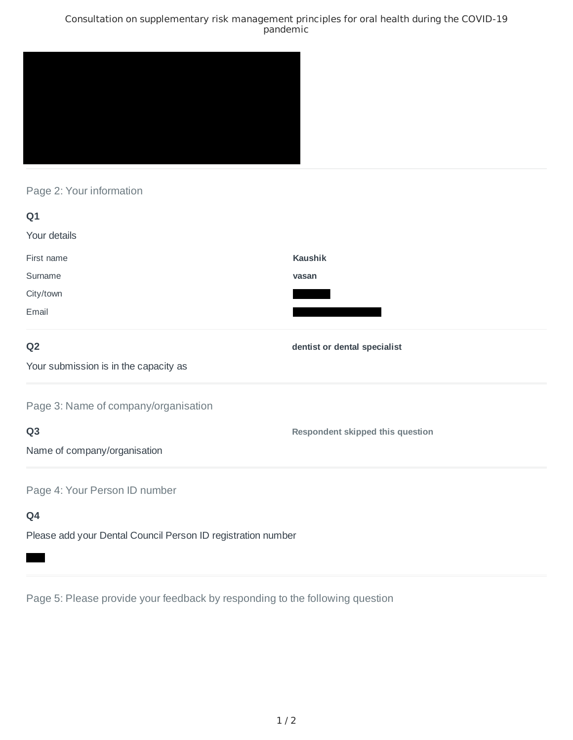## Consultation on supplementary risk management principles for oral health during the COVID-19 pandemic



# Page 2: Your information

| Q1                                    |                                  |
|---------------------------------------|----------------------------------|
| Your details                          |                                  |
| First name                            | <b>Kaushik</b>                   |
| Surname                               | vasan                            |
| City/town                             |                                  |
| Email                                 |                                  |
| Q <sub>2</sub>                        | dentist or dental specialist     |
| Your submission is in the capacity as |                                  |
| Page 3: Name of company/organisation  |                                  |
| Q <sub>3</sub>                        | Respondent skipped this question |
| Name of company/organisation          |                                  |
| Page 4: Your Person ID number         |                                  |
| Q4                                    |                                  |
|                                       |                                  |

Please add your Dental Council Person ID registration number

Page 5: Please provide your feedback by responding to the following question